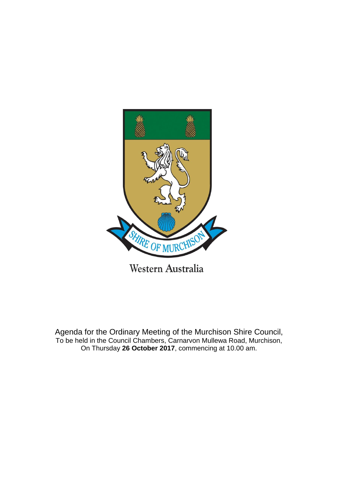

Agenda for the Ordinary Meeting of the Murchison Shire Council, To be held in the Council Chambers, Carnarvon Mullewa Road, Murchison,

On Thursday **26 October 2017**, commencing at 10.00 am.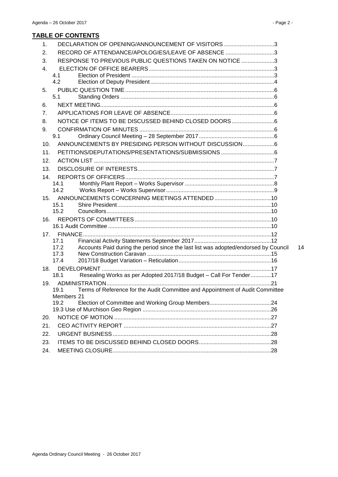## **TABLE OF CONTENTS**

| DECLARATION OF OPENING/ANNOUNCEMENT OF VISITORS 3<br>1.                                           |
|---------------------------------------------------------------------------------------------------|
| RECORD OF ATTENDANCE/APOLOGIES/LEAVE OF ABSENCE 3<br>2.                                           |
| RESPONSE TO PREVIOUS PUBLIC QUESTIONS TAKEN ON NOTICE 3<br>3.                                     |
| 4.                                                                                                |
| 4.1                                                                                               |
| 4.2                                                                                               |
| 5.                                                                                                |
| 5.1                                                                                               |
| 6.                                                                                                |
| 7.                                                                                                |
| NOTICE OF ITEMS TO BE DISCUSSED BEHIND CLOSED DOORS6<br>8.                                        |
| 9.                                                                                                |
| 9.1                                                                                               |
| ANNOUNCEMENTS BY PRESIDING PERSON WITHOUT DISCUSSION6<br>10.                                      |
| 11.                                                                                               |
| 12.                                                                                               |
| 13.                                                                                               |
| 14.                                                                                               |
| 14.1                                                                                              |
| 14.2                                                                                              |
| 15.<br>15.1                                                                                       |
| 15.2                                                                                              |
| 16.                                                                                               |
|                                                                                                   |
| 17.                                                                                               |
| 17.1                                                                                              |
| Accounts Paid during the period since the last list was adopted/endorsed by Council<br>14<br>17.2 |
| 17.3                                                                                              |
| 17.4                                                                                              |
| 18.<br>18.1                                                                                       |
| Resealing Works as per Adopted 2017/18 Budget - Call For Tender17                                 |
| 19.<br>Terms of Reference for the Audit Committee and Appointment of Audit Committee<br>19.1      |
| Members 21                                                                                        |
| 19.2                                                                                              |
|                                                                                                   |
| 20.                                                                                               |
| 21.                                                                                               |
| 22.                                                                                               |
| 23.                                                                                               |
|                                                                                                   |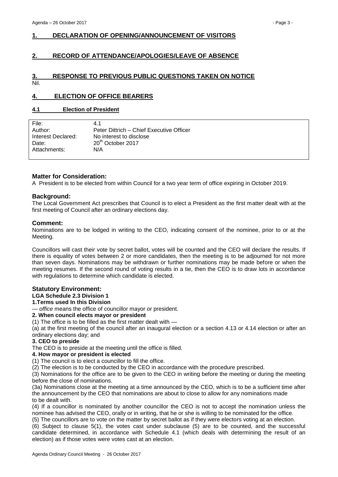## <span id="page-2-0"></span>**1. DECLARATION OF OPENING/ANNOUNCEMENT OF VISITORS**

## <span id="page-2-1"></span>**2. RECORD OF ATTENDANCE/APOLOGIES/LEAVE OF ABSENCE**

#### <span id="page-2-2"></span>**3. RESPONSE TO PREVIOUS PUBLIC QUESTIONS TAKEN ON NOTICE** Nil.

## <span id="page-2-3"></span>**4. ELECTION OF OFFICE BEARERS**

### <span id="page-2-4"></span>**4.1 Election of President**

| File:              | 4.1                                      |
|--------------------|------------------------------------------|
| Author:            | Peter Dittrich – Chief Executive Officer |
| Interest Declared: | No interest to disclose                  |
| Date:              | 20 <sup>th</sup> October 2017            |
| Attachments:       | N/A                                      |
|                    |                                          |

### **Matter for Consideration:**

A President is to be elected from within Council for a two year term of office expiring in October 2019.

#### **Background:**

The Local Government Act prescribes that Council is to elect a President as the first matter dealt with at the first meeting of Council after an ordinary elections day.

#### **Comment:**

Nominations are to be lodged in writing to the CEO, indicating consent of the nominee, prior to or at the Meeting.

Councillors will cast their vote by secret ballot, votes will be counted and the CEO will declare the results. If there is equality of votes between 2 or more candidates, then the meeting is to be adjourned for not more than seven days. Nominations may be withdrawn or further nominations may be made before or when the meeting resumes. If the second round of voting results in a tie, then the CEO is to draw lots in accordance with regulations to determine which candidate is elected.

### **Statutory Environment:**

**LGA Schedule 2.3 Division 1**

#### **1.Terms used In this Division**

— *office* means the office of councillor mayor or president.

#### **2. When council elects mayor or president**

(1) The office is to be filled as the first matter dealt with —

(a) at the first meeting of the council after an inaugural election or a section 4.13 or 4.14 election or after an ordinary elections day; and

#### **3. CEO to preside**

The CEO is to preside at the meeting until the office is filled.

#### **4. How mayor or president is elected**

(1) The council is to elect a councillor to fill the office.

(2) The election is to be conducted by the CEO in accordance with the procedure prescribed.

(3) Nominations for the office are to be given to the CEO in writing before the meeting or during the meeting before the close of nominations.

(3a) Nominations close at the meeting at a time announced by the CEO, which is to be a sufficient time after the announcement by the CEO that nominations are about to close to allow for any nominations made to be dealt with.

(4) If a councillor is nominated by another councillor the CEO is not to accept the nomination unless the nominee has advised the CEO, orally or in writing, that he or she is willing to be nominated for the office.

(5) The councillors are to vote on the matter by secret ballot as if they were electors voting at an election.

(6) Subject to clause 5(1), the votes cast under subclause (5) are to be counted, and the successful candidate determined, in accordance with Schedule 4.1 (which deals with determining the result of an election) as if those votes were votes cast at an election.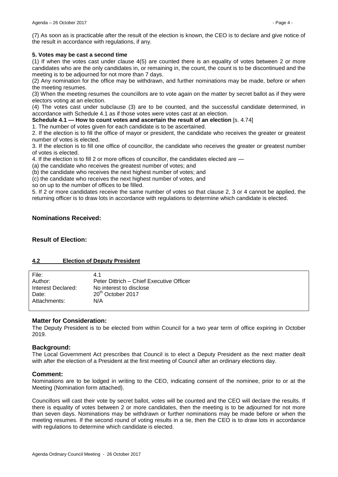(7) As soon as is practicable after the result of the election is known, the CEO is to declare and give notice of the result in accordance with regulations, if any.

#### **5. Votes may be cast a second time**

(1) If when the votes cast under clause 4(5) are counted there is an equality of votes between 2 or more candidates who are the only candidates in, or remaining in, the count, the count is to be discontinued and the meeting is to be adjourned for not more than 7 days.

(2) Any nomination for the office may be withdrawn, and further nominations may be made, before or when the meeting resumes.

(3) When the meeting resumes the councillors are to vote again on the matter by secret ballot as if they were electors voting at an election.

(4) The votes cast under subclause (3) are to be counted, and the successful candidate determined, in accordance with Schedule 4.1 as if those votes were votes cast at an election.

**Schedule 4.1 — How to count votes and ascertain the result of an election [s. 4.74]** 

1. The number of votes given for each candidate is to be ascertained.

2. If the election is to fill the office of mayor or president, the candidate who receives the greater or greatest number of votes is elected.

3. If the election is to fill one office of councillor, the candidate who receives the greater or greatest number of votes is elected.

4. If the election is to fill 2 or more offices of councillor, the candidates elected are —

(a) the candidate who receives the greatest number of votes; and

(b) the candidate who receives the next highest number of votes; and

(c) the candidate who receives the next highest number of votes, and

so on up to the number of offices to be filled.

5. If 2 or more candidates receive the same number of votes so that clause 2, 3 or 4 cannot be applied, the returning officer is to draw lots in accordance with regulations to determine which candidate is elected.

## **Nominations Received:**

### **Result of Election:**

## <span id="page-3-0"></span>**4.2 Election of Deputy President**

| File:              | 4.1                                      |
|--------------------|------------------------------------------|
| Author:            | Peter Dittrich – Chief Executive Officer |
| Interest Declared: | No interest to disclose                  |
| Date:              | 20 <sup>th</sup> October 2017            |
| Attachments:       | N/A                                      |
|                    |                                          |

### **Matter for Consideration:**

The Deputy President is to be elected from within Council for a two year term of office expiring in October 2019.

### **Background:**

The Local Government Act prescribes that Council is to elect a Deputy President as the next matter dealt with after the election of a President at the first meeting of Council after an ordinary elections day.

### **Comment:**

Nominations are to be lodged in writing to the CEO, indicating consent of the nominee, prior to or at the Meeting (Nomination form attached).

Councillors will cast their vote by secret ballot, votes will be counted and the CEO will declare the results. If there is equality of votes between 2 or more candidates, then the meeting is to be adjourned for not more than seven days. Nominations may be withdrawn or further nominations may be made before or when the meeting resumes. If the second round of voting results in a tie, then the CEO is to draw lots in accordance with regulations to determine which candidate is elected.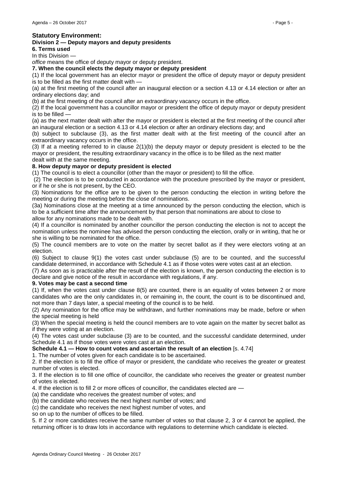## **Statutory Environment:**

## **Division 2 — Deputy mayors and deputy presidents**

**6. Terms used** 

In this Division

*office* means the office of deputy mayor or deputy president.

#### **7. When the council elects the deputy mayor or deputy president**

(1) If the local government has an elector mayor or president the office of deputy mayor or deputy president is to be filled as the first matter dealt with —

(a) at the first meeting of the council after an inaugural election or a section 4.13 or 4.14 election or after an ordinary elections day; and

(b) at the first meeting of the council after an extraordinary vacancy occurs in the office.

(2) If the local government has a councillor mayor or president the office of deputy mayor or deputy president is to be filled —

(a) as the next matter dealt with after the mayor or president is elected at the first meeting of the council after an inaugural election or a section 4.13 or 4.14 election or after an ordinary elections day; and

(b) subject to subclause (3), as the first matter dealt with at the first meeting of the council after an extraordinary vacancy occurs in the office.

(3) If at a meeting referred to in clause 2(1)(b) the deputy mayor or deputy president is elected to be the mayor or president, the resulting extraordinary vacancy in the office is to be filled as the next matter dealt with at the same meeting.

## **8. How deputy mayor or deputy president is elected**

(1) The council is to elect a councillor (other than the mayor or president) to fill the office.

(2) The election is to be conducted in accordance with the procedure prescribed by the mayor or president, or if he or she is not present, by the CEO.

(3) Nominations for the office are to be given to the person conducting the election in writing before the meeting or during the meeting before the close of nominations.

(3a) Nominations close at the meeting at a time announced by the person conducting the election, which is to be a sufficient time after the announcement by that person that nominations are about to close to allow for any nominations made to be dealt with.

(4) If a councillor is nominated by another councillor the person conducting the election is not to accept the nomination unless the nominee has advised the person conducting the election, orally or in writing, that he or she is willing to be nominated for the office.

(5) The council members are to vote on the matter by secret ballot as if they were electors voting at an election.

(6) Subject to clause 9(1) the votes cast under subclause (5) are to be counted, and the successful candidate determined, in accordance with Schedule 4.1 as if those votes were votes cast at an election.

(7) As soon as is practicable after the result of the election is known, the person conducting the election is to declare and give notice of the result in accordance with regulations, if any.

#### **9. Votes may be cast a second time**

(1) If, when the votes cast under clause 8(5) are counted, there is an equality of votes between 2 or more candidates who are the only candidates in, or remaining in, the count, the count is to be discontinued and, not more than 7 days later, a special meeting of the council is to be held.

(2) Any nomination for the office may be withdrawn, and further nominations may be made, before or when the special meeting is held

(3) When the special meeting is held the council members are to vote again on the matter by secret ballot as if they were voting at an election.

(4) The votes cast under subclause (3) are to be counted, and the successful candidate determined, under Schedule 4.1 as if those votes were votes cast at an election.

**Schedule 4.1 — How to count votes and ascertain the result of an election** [s. 4.74]

1. The number of votes given for each candidate is to be ascertained.

2. If the election is to fill the office of mayor or president, the candidate who receives the greater or greatest number of votes is elected.

3. If the election is to fill one office of councillor, the candidate who receives the greater or greatest number of votes is elected.

4. If the election is to fill 2 or more offices of councillor, the candidates elected are —

(a) the candidate who receives the greatest number of votes; and

(b) the candidate who receives the next highest number of votes; and

(c) the candidate who receives the next highest number of votes, and

so on up to the number of offices to be filled.

5. If 2 or more candidates receive the same number of votes so that clause 2, 3 or 4 cannot be applied, the returning officer is to draw lots in accordance with regulations to determine which candidate is elected.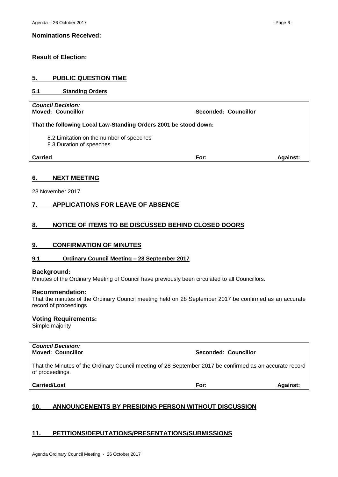### **Result of Election:**

## <span id="page-5-0"></span>**5. PUBLIC QUESTION TIME**

### <span id="page-5-1"></span>**5.1 Standing Orders**

| <b>Council Decision:</b><br><b>Moved: Councillor</b>                 | Seconded: Councillor |                 |
|----------------------------------------------------------------------|----------------------|-----------------|
| That the following Local Law-Standing Orders 2001 be stood down:     |                      |                 |
| 8.2 Limitation on the number of speeches<br>8.3 Duration of speeches |                      |                 |
| Carried                                                              | For:                 | <b>Against:</b> |
|                                                                      |                      |                 |

## <span id="page-5-2"></span>**6. NEXT MEETING**

23 November 2017

## <span id="page-5-3"></span>**7. APPLICATIONS FOR LEAVE OF ABSENCE**

## <span id="page-5-4"></span>**8. NOTICE OF ITEMS TO BE DISCUSSED BEHIND CLOSED DOORS**

### <span id="page-5-5"></span>**9. CONFIRMATION OF MINUTES**

### <span id="page-5-6"></span>**9.1 Ordinary Council Meeting – 28 September 2017**

#### **Background:**

Minutes of the Ordinary Meeting of Council have previously been circulated to all Councillors.

#### **Recommendation:**

That the minutes of the Ordinary Council meeting held on 28 September 2017 be confirmed as an accurate record of proceedings

#### **Voting Requirements:**

Simple majority

*Council Decision:*

**Moved: Councillor Seconded: Councillor**

That the Minutes of the Ordinary Council meeting of 28 September 2017 be confirmed as an accurate record of proceedings.

**Carried/Lost For: Against:**

<span id="page-5-7"></span>

|  | 10. | ANNOUNCEMENTS BY PRESIDING PERSON WITHOUT DISCUSSION |
|--|-----|------------------------------------------------------|
|--|-----|------------------------------------------------------|

## <span id="page-5-8"></span>**11. PETITIONS/DEPUTATIONS/PRESENTATIONS/SUBMISSIONS**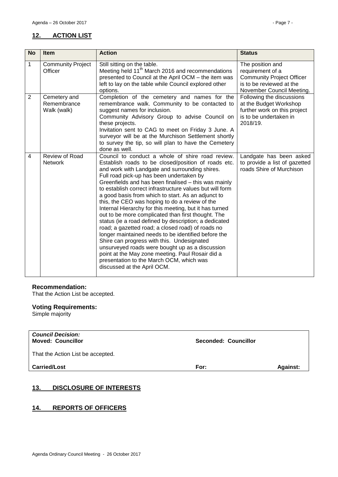## <span id="page-6-0"></span>**12. ACTION LIST**

| <b>No</b>      | <b>Item</b>                                | <b>Action</b>                                                                                                                                                                                                                                                                                                                                                                                                                                                                                                                                                                                                                                                                                                                                                                                                                                                                                                                                          | <b>Status</b>                                                                                                                     |
|----------------|--------------------------------------------|--------------------------------------------------------------------------------------------------------------------------------------------------------------------------------------------------------------------------------------------------------------------------------------------------------------------------------------------------------------------------------------------------------------------------------------------------------------------------------------------------------------------------------------------------------------------------------------------------------------------------------------------------------------------------------------------------------------------------------------------------------------------------------------------------------------------------------------------------------------------------------------------------------------------------------------------------------|-----------------------------------------------------------------------------------------------------------------------------------|
| 1              | <b>Community Project</b><br>Officer        | Still sitting on the table.<br>Meeting held 11 <sup>th</sup> March 2016 and recommendations<br>presented to Council at the April OCM - the item was<br>left to lay on the table while Council explored other<br>options.                                                                                                                                                                                                                                                                                                                                                                                                                                                                                                                                                                                                                                                                                                                               | The position and<br>requirement of a<br><b>Community Project Officer</b><br>is to be reviewed at the<br>November Council Meeting. |
| $\overline{2}$ | Cemetery and<br>Remembrance<br>Walk (walk) | Completion of the cemetery and names for the<br>remembrance walk. Community to be contacted to<br>suggest names for inclusion.<br>Community Advisory Group to advise Council on<br>these projects.<br>Invitation sent to CAG to meet on Friday 3 June. A<br>surveyor will be at the Murchison Settlement shortly<br>to survey the tip, so will plan to have the Cemetery<br>done as well.                                                                                                                                                                                                                                                                                                                                                                                                                                                                                                                                                              | Following the discussions<br>at the Budget Workshop<br>further work on this project<br>is to be undertaken in<br>2018/19.         |
| $\overline{4}$ | Review of Road<br>Network                  | Council to conduct a whole of shire road review.<br>Establish roads to be closed/position of roads etc.<br>and work with Landgate and surrounding shires.<br>Full road pick-up has been undertaken by<br>Greenfields and has been finalised - this was mainly<br>to establish correct infrastructure values but will form<br>a good basis from which to start. As an adjunct to<br>this, the CEO was hoping to do a review of the<br>Internal Hierarchy for this meeting, but it has turned<br>out to be more complicated than first thought. The<br>status (ie a road defined by description; a dedicated<br>road; a gazetted road; a closed road) of roads no<br>longer maintained needs to be identified before the<br>Shire can progress with this. Undesignated<br>unsurveyed roads were bought up as a discussion<br>point at the May zone meeting. Paul Rosair did a<br>presentation to the March OCM, which was<br>discussed at the April OCM. | Landgate has been asked<br>to provide a list of gazetted<br>roads Shire of Murchison                                              |

## **Recommendation:**

That the Action List be accepted.

## **Voting Requirements:**

Simple majority

| <b>Council Decision:</b><br><b>Moved: Councillor</b> | Seconded: Councillor |                 |
|------------------------------------------------------|----------------------|-----------------|
| That the Action List be accepted.                    |                      |                 |
| <b>Carried/Lost</b>                                  | For:                 | <b>Against:</b> |

## <span id="page-6-1"></span>**13. DISCLOSURE OF INTERESTS**

## <span id="page-6-2"></span>**14. REPORTS OF OFFICERS**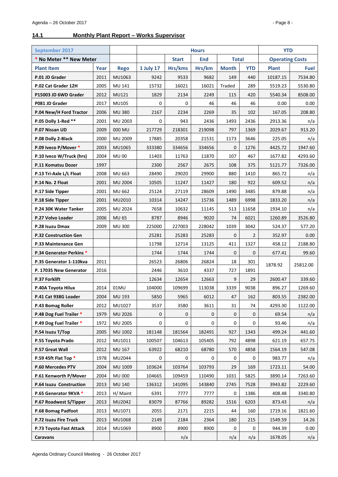## <span id="page-7-0"></span>**14.1 Monthly Plant Report – Works Supervisor**

| <b>September 2017</b>           |      |                |                                            |         | <b>Hours</b> |                        |             | <b>YTD</b>   |          |
|---------------------------------|------|----------------|--------------------------------------------|---------|--------------|------------------------|-------------|--------------|----------|
| * No Meter ** New Meter         |      |                | <b>End</b><br><b>Total</b><br><b>Start</b> |         |              | <b>Operating Costs</b> |             |              |          |
| <b>Plant Item</b>               | Year | <b>Rego</b>    | <b>1 July 17</b>                           | Hrs/kms | Hrs/km       | <b>Month</b>           | <b>YTD</b>  | <b>Plant</b> | Fuel     |
| P.01 JD Grader                  | 2011 | MU1063         | 9242                                       | 9533    | 9682         | 149                    | 440         | 10187.15     | 7534.80  |
| P.02 Cat Grader 12H             | 2005 | MU 141         | 15732                                      | 16021   | 16021        | Traded                 | 289         | 5519.23      | 5530.80  |
| P15003 JD 6WD Grader            | 2012 | MU121          | 1829                                       | 2134    | 2249         | 115                    | 420         | 5540.34      | 8508.00  |
| P081 JD Grader                  | 2017 | MU105          | 0                                          | 0       | 46           | 46                     | 46          | 0.00         | 0.00     |
| P.04 New/H Ford Tractor         | 2006 | <b>MU 380</b>  | 2167                                       | 2234    | 2269         | 35                     | 102         | 167.05       | 208.80   |
| P.05 Dolly 1-Red **             | 2001 | MU 2003        | 0                                          | 943     | 2436         | 1493                   | 2436        | 2913.36      | n/a      |
| P.07 Nissan UD                  | 2009 | 000 MU         | 217729                                     | 218301  | 219098       | 797                    | 1369        | 2029.67      | 913.20   |
| P.08 Dolly 2-Black              | 2000 | MU 2009        | 17885                                      | 20358   | 21531        | 1173                   | 3646        | 225.05       | n/a      |
| P.09 Iveco P/Mover *            | 2003 | MU1065         | 333380                                     | 334656  | 334656       | 0                      | 1276        | 4425.72      | 1947.60  |
| P.10 Iveco W/Truck (hrs)        | 2004 | <b>MU 00</b>   | 11403                                      | 11763   | 11870        | 107                    | 467         | 1677.82      | 4293.60  |
| P.11 Komatsu Dozer              | 1997 |                | 2300                                       | 2567    | 2675         | 108                    | 375         | 5121.77      | 7326.00  |
| P.13 Tri-Axle L/L Float         | 2008 | MU 663         | 28490                                      | 29020   | 29900        | 880                    | 1410        | 865.72       | n/a      |
| P.14 No. 2 Float                | 2001 | <b>MU 2004</b> | 10505                                      | 11247   | 11427        | 180                    | 922         | 609.52       | n/a      |
| P.17 Side Tipper                | 2001 | MU 662         | 25124                                      | 27119   | 28609        | 1490                   | 3485        | 879.88       | n/a      |
| P.18 Side Tipper                | 2001 | MU2010         | 10314                                      | 14247   | 15736        | 1489                   | 6998        | 1833.20      | n/a      |
| P.24 30K Water Tanker           | 2005 | MU 2024        | 7658                                       | 10632   | 11145        | 513                    | 11658       | 1934.10      | n/a      |
| P.27 Volvo Loader               | 2006 | <b>MU 65</b>   | 8787                                       | 8946    | 9020         | 74                     | 6021        | 1260.89      | 3526.80  |
| P.28 Isuzu Dmax                 | 2009 | <b>MU 300</b>  | 225000                                     | 227003  | 228042       | 1039                   | 3042        | 524.37       | 577.20   |
| <b>P.32 Construction Gen</b>    |      |                | 25281                                      | 25283   | 25283        | 0                      | 2           | 352.97       | 0.00     |
| P.33 Maintenance Gen            |      |                | 11798                                      | 12714   | 13125        | 411                    | 1327        | 458.12       | 2188.80  |
| <b>P.34 Generator Perkins *</b> |      |                | 1744                                       | 1744    | 1744         | $\mathbf{0}$           | 0           | 677.41       | 99.60    |
| P.35 Generator 1-110kva         | 2011 |                | 26523                                      | 26806   | 26824        | 18                     | 301         | 1878.92      | 25812.00 |
| P. 17035 New Generator          | 2016 |                | 2446                                       | 3610    | 4337         | 727                    | 1891        |              |          |
| P.37 Forklift                   |      |                | 12634                                      | 12654   | 12663        | 9                      | 29          | 2600.47      | 339.60   |
| P.40A Toyota Hilux              | 2014 | 01MU           | 104000                                     | 109699  | 113038       | 3339                   | 9038        | 896.27       | 1269.60  |
| P.41 Cat 938G Loader            | 2004 | MU 193         | 5850                                       | 5965    | 6012         | 47                     | 162         | 803.55       | 2382.00  |
| P.43 Bomag Roller               | 2012 | MU1027         | 3537                                       | 3580    | 3611         | 31                     | 74          | 4293.30      | 1122.00  |
| P.48 Dog Fuel Trailer *         | 1979 | <b>MU 2026</b> | 0                                          | 0       | 0            | 0                      | 0           | 69.54        | n/a      |
| P.49 Dog Fuel Trailer *         | 1972 | MU 2005        | 0                                          | 0       | $\mathbf 0$  | 0                      | $\mathbf 0$ | 93.46        | n/a      |
| P.54 Isuzu T/Top                | 2005 | MU 1002        | 181148                                     | 181564  | 182491       | 927                    | 1343        | 499.24       | 441.60   |
| P.55 Toyota Prado               | 2012 | MU1011         | 100507                                     | 104613  | 105405       | 792                    | 4898        | 621.19       | 657.75   |
| P.57 Great Wall                 | 2012 | MU 167         | 63922                                      | 68210   | 68780        | 570                    | 4858        | 1564.19      | 547.08   |
| P.59 45ft Flat Top *            | 1978 | MU2044         | 0                                          | 0       | 0            | 0                      | 0           | 983.77       | n/a      |
| P.60 Mercedes PTV               | 2004 | MU 1009        | 103624                                     | 103764  | 103793       | 29                     | 169         | 1723.11      | 54.00    |
| P.61 Kenworth P/Mover           | 2004 | <b>MU 000</b>  | 104665                                     | 109459  | 110490       | 1031                   | 5825        | 3890.14      | 7263.60  |
| P.64 Isuzu Construction         | 2013 | MU 140         | 136312                                     | 141095  | 143840       | 2745                   | 7528        | 3943.82      | 2229.60  |
| P.65 Generator 9KVA *           | 2013 | H/ Maint       | 6391                                       | 7777    | 7777         | 0                      | 1386        | 408.48       | 3340.80  |
| P.67 Roadwest S/Tipper          | 2013 | MU2042         | 83079                                      | 87766   | 89282        | 1516                   | 6203        | 873.43       | n/a      |
| P.68 Bomag Padfoot              | 2013 | MU1071         | 2055                                       | 2171    | 2215         | 44                     | 160         | 1719.16      | 1821.60  |
| P.72 Isuzu Fire Truck           | 2013 | MU1068         | 2149                                       | 2184    | 2364         | 180                    | 215         | 1549.59      | 14.26    |
| P.73 Toyota Fast Attack         | 2014 | MU1069         | 8900                                       | 8900    | 8900         | 0                      | 0           | 944.39       | 0.00     |
| Caravans                        |      |                |                                            | n/a     |              | n/a                    | n/a         | 1678.05      | n/a      |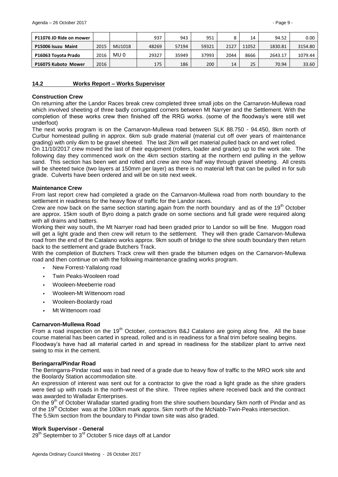| P11076 JD Ride on mower |      |        | 937   | 943   | 951   |      | 14    | 94.52   | 0.00    |
|-------------------------|------|--------|-------|-------|-------|------|-------|---------|---------|
| P15006 Isuzu Maint      | 2015 | MU1018 | 48269 | 57194 | 59321 | 2127 | 11052 | 1830.81 | 3154.80 |
| P16063 Toyota Prado     | 2016 | MU 0   | 29327 | 35949 | 37993 | 2044 | 8666  | 2643.17 | 1079.44 |
| P16075 Kuboto Mower     | 2016 |        | 175   | 186   | 200   | 14   | 25    | 70.94   | 33.60   |

## <span id="page-8-0"></span>**14.2 Works Report – Works Supervisor**

#### **Construction Crew**

On returning after the Landor Races break crew completed three small jobs on the Carnarvon-Mullewa road which involved sheeting of three badly corrugated corners between Mt Narryer and the Settlement. With the completion of these works crew then finished off the RRG works. (some of the floodway's were still wet underfoot)

The next works program is on the Carnarvon-Mullewa road between SLK 88.750 - 94.450, 8km north of Curbur homestead pulling in approx. 6km sub grade material (material cut off over years of maintenance grading) with only 4km to be gravel sheeted. The last 2km will get material pulled back on and wet rolled.

On 11/10/2017 crew moved the last of their equipment (rollers, loader and grader) up to the work site. The following day they commenced work on the 4km section starting at the northern end pulling in the yellow sand. This section has been wet and rolled and crew are now half way through gravel sheeting. All crests will be sheeted twice (two layers at 150mm per layer) as there is no material left that can be pulled in for sub grade. Culverts have been ordered and will be on site next week.

#### **Maintenance Crew**

From last report crew had completed a grade on the Carnarvon-Mullewa road from north boundary to the settlement in readiness for the heavy flow of traffic for the Landor races.

Crew are now back on the same section starting again from the north boundary and as of the 19<sup>th</sup> October are approx. 15km south of Byro doing a patch grade on some sections and full grade were required along with all drains and batters.

Working their way south, the Mt Narryer road had been graded prior to Landor so will be fine. Muggon road will get a light grade and then crew will return to the settlement. They will then grade Carnarvon-Mullewa road from the end of the Catalano works approx. 9km south of bridge to the shire south boundary then return back to the settlement and grade Butchers Track.

With the completion of Butchers Track crew will then grade the bitumen edges on the Carnarvon-Mullewa road and then continue on with the following maintenance grading works program.

- *•* New Forrest-Yallalong road
- *•* Twin Peaks-Wooleen road
- *•* Wooleen-Meeberrie road
- *•* Wooleen-Mt Wittenoom road
- *•* Wooleen-Boolardy road
- *•* Mt Wittenoom road

### **Carnarvon-Mullewa Road**

From a road inspection on the 19<sup>th</sup> October, contractors B&J Catalano are going along fine. All the base course material has been carted in spread, rolled and is in readiness for a final trim before sealing begins. Floodway's have had all material carted in and spread in readiness for the stabilizer plant to arrive next swing to mix in the cement.

### **Beringarra/Pindar Road**

The Beringarra-Pindar road was in bad need of a grade due to heavy flow of traffic to the MRO work site and the Boolardy Station accommodation site.

An expression of interest was sent out for a contractor to give the road a light grade as the shire graders were tied up with roads in the north-west of the shire. Three replies where received back and the contract was awarded to Walladar Enterprises.

On the 9<sup>th</sup> of October Walladar started grading from the shire southern boundary 5km north of Pindar and as of the 19<sup>th</sup> October was at the 100km mark approx. 5km north of the McNabb-Twin-Peaks intersection. The 5.5km section from the boundary to Pindar town site was also graded.

### **Work Supervisor - General**

29<sup>th</sup> September to 3<sup>rd</sup> October 5 nice days off at Landor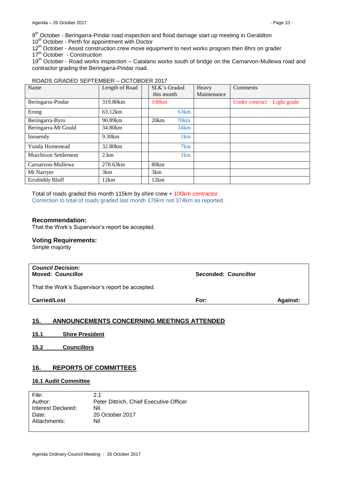9<sup>th</sup> October - Beringarra-Pindar road inspection and flood damage start up meeting in Geraldton

10<sup>th</sup> October - Perth for appointment with Doctor

12<sup>th</sup> October - Assist construction crew move equipment to next works program then 8hrs on grader

17<sup>th</sup> October - Construction

19<sup>th</sup> October - Road works inspection – Catalano works south of bridge on the Carnarvon-Mullewa road and contractor grading the Beringarra-Pindar road.

#### ROADS GRADED SEPTEMBER – OCTOBDER 2017

| Name                        | Length of Road | SLK's Graded<br>this month | Heavy<br>Maintenance | <b>Comments</b>              |
|-----------------------------|----------------|----------------------------|----------------------|------------------------------|
|                             |                |                            |                      |                              |
| Beringarra-Pindar           | 319.80km       | 100km                      |                      | Under contract – Light grade |
| Erong                       | 63.12km        | 63km                       |                      |                              |
| Beringarra-Byro             | 90.89km        | 20km<br>70km               |                      |                              |
| Beringarra-Mt Gould         | 34.80km        | 34km                       |                      |                              |
| Inouendy                    | 9.30km         | 1 <sub>km</sub>            |                      |                              |
| Yunda Homestead             | 32.80km        | 7km                        |                      |                              |
| <b>Murchison Settlement</b> | 2.km           | 1 <sub>km</sub>            |                      |                              |
| Carnarvon-Mullewa           | 278.63km       | 80km                       |                      |                              |
| Mt Narryer                  | 3km            | 3 <sub>km</sub>            |                      |                              |
| <b>Errabiddy Bluff</b>      | 12km           | 12km                       |                      |                              |

Total of roads graded this month 115km by shire crew + 100km contractor. Correction to total of roads graded last month 176km not 374km as reported.

#### **Recommendation:**

That the Work's Supervisor's report be accepted.

#### **Voting Requirements:**

Simple majority

| <b>Council Decision:</b><br><b>Moved: Councillor</b> | Seconded: Councillor |                 |
|------------------------------------------------------|----------------------|-----------------|
| That the Work's Supervisor's report be accepted.     |                      |                 |
| <b>Carried/Lost</b>                                  | For:                 | <b>Against:</b> |
|                                                      |                      |                 |

## <span id="page-9-0"></span>**15. ANNOUNCEMENTS CONCERNING MEETINGS ATTENDED**

- <span id="page-9-1"></span>**15.1 Shire President**
- <span id="page-9-2"></span>**15.2 Councillors**

### <span id="page-9-3"></span>**16. REPORTS OF COMMITTEES**

### <span id="page-9-4"></span>**16.1 Audit Committee**

| File:              | 2.1                                     |
|--------------------|-----------------------------------------|
| Author:            | Peter Dittrich, Chief Executive Officer |
| Interest Declared: | Nil.                                    |
| Date:              | 20 October 2017                         |
| Attachments:       | Nil                                     |
|                    |                                         |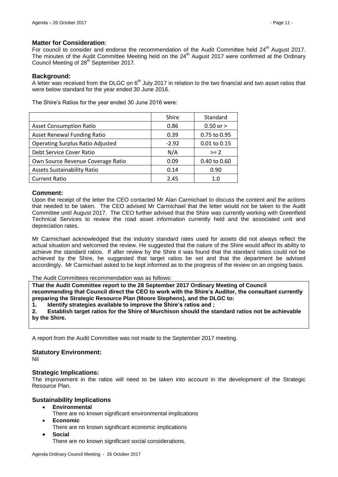#### **Matter for Consideration**:

For council to consider and endorse the recommendation of the Audit Committee held 24<sup>th</sup> August 2017. The minutes of the Audit Committee Meeting held on the 24<sup>th</sup> August 2017 were confirmed at the Ordinary Council Meeting of 28<sup>th</sup> September 2017.

#### **Background:**

A letter was received from the DLGC on  $6<sup>th</sup>$  July 2017 in relation to the two financial and two asset ratios that were below standard for the year ended 30 June 2016.

The Shire's Ratios for the year ended 30 June 2016 were:

|                                         | Shire   | Standard      |
|-----------------------------------------|---------|---------------|
| <b>Asset Consumption Ratio</b>          | 0.86    | $0.50$ or $>$ |
| <b>Asset Renewal Funding Ratio</b>      | 0.39    | 0.75 to 0.95  |
| <b>Operating Surplus Ratio Adjusted</b> | $-2.92$ | 0.01 to 0.15  |
| Debt Service Cover Ratio                | N/A     | $>= 2$        |
| Own Source Revenue Coverage Ratio       | 0.09    | 0.40 to 0.60  |
| <b>Assets Sustainability Ratio</b>      | 0.14    | 0.90          |
| <b>Current Ratio</b>                    | 2.45    | 1. $\Omega$   |

#### **Comment:**

Upon the receipt of the letter the CEO contacted Mr Alan Carmichael to discuss the content and the actions that needed to be taken. The CEO advised Mr Carmichael that the letter would not be taken to the Audit Committee until August 2017. The CEO further advised that the Shire was currently working with Greenfield Technical Services to review the road asset information currently held and the associated unit and depreciation rates.

Mr Carmichael acknowledged that the industry standard rates used for assets did not always reflect the actual situation and welcomed the review. He suggested that the nature of the Shire would affect its ability to achieve the standard ratios. If after review by the Shire it was found that the standard ratios could not be achieved by the Shire, he suggested that target ratios be set and that the department be advised accordingly. Mr Carmichael asked to be kept informed as to the progress of the review on an ongoing basis.

#### The Audit Committees recommendation was as follows:

**That the Audit Committee report to the 28 September 2017 Ordinary Meeting of Council recommending that Council direct the CEO to work with the Shire's Auditor, the consultant currently preparing the Strategic Resource Plan (Moore Stephens), and the DLGC to:**

**1. Identify strategies available to improve the Shire's ratios and ;**

**2. Establish target ratios for the Shire of Murchison should the standard ratios not be achievable by the Shire.**

A report from the Audit Committee was not made to the September 2017 meeting.

#### **Statutory Environment:**

Nil

#### **Strategic Implications:**

The improvement in the ratios will need to be taken into account in the development of the Strategic Resource Plan.

## **Sustainability Implications**

- **Environmental**
	- There are no known significant environmental implications
- **Economic**

**Social**

There are no known significant economic implications

There are no known significant social considerations.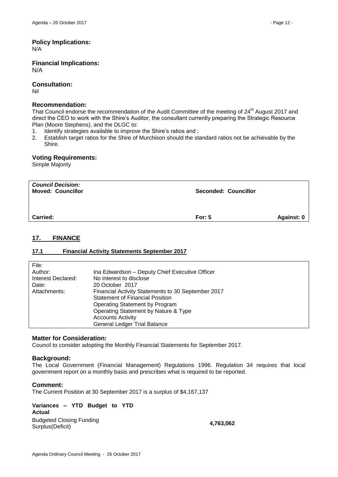## **Policy Implications:**

N/A

**Financial Implications:** N/A

**Consultation:**

Nil

## **Recommendation:**

That Council endorse the recommendation of the Audit Committee of the meeting of 24<sup>th</sup> August 2017 and direct the CEO to work with the Shire's Auditor, the consultant currently preparing the Strategic Resource Plan (Moore Stephens), and the DLGC to:

- 1. Identify strategies available to improve the Shire's ratios and ;
- 2. Establish target ratios for the Shire of Murchison should the standard ratios not be achievable by the Shire.

### **Voting Requirements:**

Simple Majority

| <b>Council Decision:</b><br><b>Moved: Councillor</b> | Seconded: Councillor |            |
|------------------------------------------------------|----------------------|------------|
| <b>Carried:</b>                                      | For: $5$             | Against: 0 |

## <span id="page-11-0"></span>**17. FINANCE**

### <span id="page-11-1"></span>**17.1 Financial Activity Statements September 2017**

| File:              |                                                    |
|--------------------|----------------------------------------------------|
| Author:            | Ina Edwardson - Deputy Chief Executive Officer     |
| Interest Declared: | No interest to disclose                            |
| Date:              | 20 October 2017                                    |
| Attachments:       | Financial Activity Statements to 30 September 2017 |
|                    | <b>Statement of Financial Position</b>             |
|                    | Operating Statement by Program                     |
|                    | Operating Statement by Nature & Type               |
|                    | <b>Accounts Activity</b>                           |
|                    | <b>General Ledger Trial Balance</b>                |
|                    |                                                    |

### **Matter for Consideration:**

Council to consider adopting the Monthly Financial Statements for September 2017.

### **Background:**

The Local Government (Financial Management) Regulations 1996. Regulation 34 requires that local government report on a monthly basis and prescribes what is required to be reported.

#### **Comment:**

The Current Position at 30 September 2017 is a surplus of \$4,167,137

**Variances – YTD Budget to YTD Actual** Budgeted Closing Funding Surplus(Deficit) **4,763,062**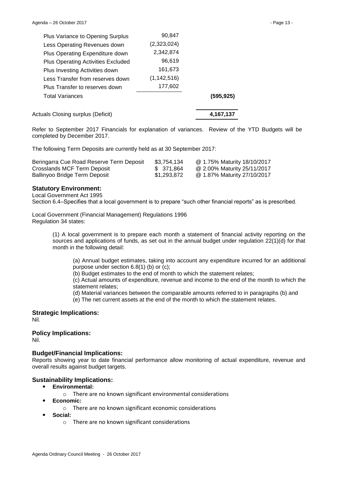|                                                                                                                                                                                                                                                                                               | 4,167,137 |
|-----------------------------------------------------------------------------------------------------------------------------------------------------------------------------------------------------------------------------------------------------------------------------------------------|-----------|
|                                                                                                                                                                                                                                                                                               | (595.925) |
| 177,602                                                                                                                                                                                                                                                                                       |           |
| (1, 142, 516)                                                                                                                                                                                                                                                                                 |           |
| 161,673                                                                                                                                                                                                                                                                                       |           |
| 96,619                                                                                                                                                                                                                                                                                        |           |
| 2,342,874                                                                                                                                                                                                                                                                                     |           |
| (2,323,024)                                                                                                                                                                                                                                                                                   |           |
| 90,847                                                                                                                                                                                                                                                                                        |           |
| Plus Variance to Opening Surplus<br>Less Operating Revenues down<br>Plus Operating Expenditure down<br><b>Plus Operating Activities Excluded</b><br>Plus Investing Activities down<br>Less Transfer from reserves down<br>Plus Transfer to reserves down<br>Actuals Closing surplus (Deficit) |           |

Refer to September 2017 Financials for explanation of variances. Review of the YTD Budgets will be completed by December 2017.

The following Term Deposits are currently held as at 30 September 2017:

| Beringarra Cue Road Reserve Term Deposit | \$3,754,134 | @ 1.75% Maturity 18/10/2017 |
|------------------------------------------|-------------|-----------------------------|
| Crosslands MCF Term Deposit              | \$371.864   | @ 2.00% Maturity 25/11/2017 |
| Ballinyoo Bridge Term Deposit            | \$1,293,872 | @ 1.87% Maturity 27/10/2017 |

#### **Statutory Environment:**

Local Government Act 1995

Section 6.4–Specifies that a local government is to prepare "such other financial reports" as is prescribed.

Local Government (Financial Management) Regulations 1996 Regulation 34 states:

> (1) A local government is to prepare each month a statement of financial activity reporting on the sources and applications of funds, as set out in the annual budget under regulation 22(1)(d) for that month in the following detail:

(a) Annual budget estimates, taking into account any expenditure incurred for an additional purpose under section 6.8(1) (b) or (c);

(b) Budget estimates to the end of month to which the statement relates;

(c) Actual amounts of expenditure, revenue and income to the end of the month to which the statement relates;

(d) Material variances between the comparable amounts referred to in paragraphs (b) and

(e) The net current assets at the end of the month to which the statement relates.

**Strategic Implications:**

Nil.

# **Policy Implications:**

Nil.

### **Budget/Financial Implications:**

Reports showing year to date financial performance allow monitoring of actual expenditure, revenue and overall results against budget targets.

### **Sustainability Implications:**

- **Environmental:**
	- o There are no known significant environmental considerations
- **Economic:**
	- o There are no known significant economic considerations
	- **Social:**
		- o There are no known significant considerations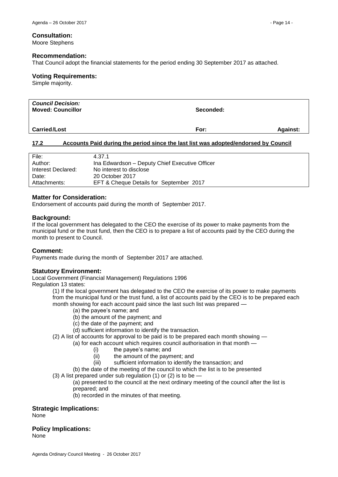#### **Consultation:**

Moore Stephens

#### **Recommendation:**

That Council adopt the financial statements for the period ending 30 September 2017 as attached.

#### **Voting Requirements:**

Simple majority.

| <b>Council Decision:</b><br><b>Moved: Councillor</b> | Seconded: |                 |
|------------------------------------------------------|-----------|-----------------|
| <b>Carried/Lost</b>                                  | For:      | <b>Against:</b> |

## <span id="page-13-0"></span>**17.2 Accounts Paid during the period since the last list was adopted/endorsed by Council**

| File:              | 4.37.1                                         |
|--------------------|------------------------------------------------|
| Author:            | Ina Edwardson - Deputy Chief Executive Officer |
| Interest Declared: | No interest to disclose                        |
| Date:              | 20 October 2017                                |
| Attachments:       | EFT & Cheque Details for September 2017        |

### **Matter for Consideration:**

Endorsement of accounts paid during the month of September 2017.

#### **Background:**

If the local government has delegated to the CEO the exercise of its power to make payments from the municipal fund or the trust fund, then the CEO is to prepare a list of accounts paid by the CEO during the month to present to Council.

### **Comment:**

Payments made during the month of September 2017 are attached.

### **Statutory Environment:**

Local Government (Financial Management) Regulations 1996 Regulation 13 states:

> (1) If the local government has delegated to the CEO the exercise of its power to make payments from the municipal fund or the trust fund, a list of accounts paid by the CEO is to be prepared each month showing for each account paid since the last such list was prepared -

- (a) the payee's name; and
- (b) the amount of the payment; and
- (c) the date of the payment; and
- (d) sufficient information to identify the transaction.

(2) A list of accounts for approval to be paid is to be prepared each month showing —

- (a) for each account which requires council authorisation in that month
	- (i) the payee's name; and
	- (ii) the amount of the payment; and
	- (iii) sufficient information to identify the transaction; and

(b) the date of the meeting of the council to which the list is to be presented

(3) A list prepared under sub regulation (1) or (2) is to be —

(a) presented to the council at the next ordinary meeting of the council after the list is prepared; and

(b) recorded in the minutes of that meeting.

### **Strategic Implications:**

None

**Policy Implications:**

None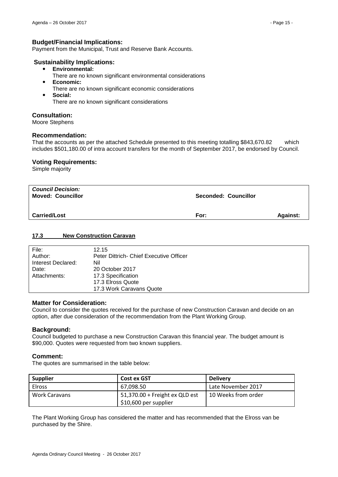## **Budget/Financial Implications:**

Payment from the Municipal, Trust and Reserve Bank Accounts.

#### **Sustainability Implications:**

- **Environmental:**
	- There are no known significant environmental considerations
- **Economic:**
	- There are no known significant economic considerations
- **Social:**

There are no known significant considerations

### **Consultation:**

Moore Stephens

### **Recommendation:**

That the accounts as per the attached Schedule presented to this meeting totalling \$843,670.82 which includes \$501,180.00 of intra account transfers for the month of September 2017, be endorsed by Council.

#### **Voting Requirements:**

Simple majority

| <b>Council Decision:</b><br><b>Moved: Councillor</b> | Seconded: Councillor |                 |
|------------------------------------------------------|----------------------|-----------------|
| <b>Carried/Lost</b>                                  | For:                 | <b>Against:</b> |

## <span id="page-14-0"></span>**17.3 New Construction Caravan**

| File:              | 12.15                                   |
|--------------------|-----------------------------------------|
| Author:            | Peter Dittrich- Chief Executive Officer |
| Interest Declared: | Nil                                     |
| Date:              | 20 October 2017                         |
| Attachments:       | 17.3 Specification                      |
|                    | 17.3 Elross Quote                       |
|                    | 17.3 Work Caravans Quote                |

### **Matter for Consideration:**

Council to consider the quotes received for the purchase of new Construction Caravan and decide on an option, after due consideration of the recommendation from the Plant Working Group.

### **Background:**

Council budgeted to purchase a new Construction Caravan this financial year. The budget amount is \$90,000. Quotes were requested from two known suppliers.

#### **Comment:**

The quotes are summarised in the table below:

| <b>Supplier</b> | <b>Cost ex GST</b>             | <b>Delivery</b>     |
|-----------------|--------------------------------|---------------------|
| <b>Elross</b>   | 67.098.50                      | Late November 2017  |
| Work Caravans   | 51,370.00 + Freight ex QLD est | 10 Weeks from order |
|                 | \$10,600 per supplier          |                     |

The Plant Working Group has considered the matter and has recommended that the Elross van be purchased by the Shire.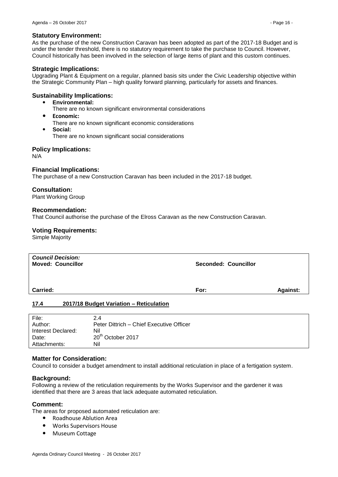#### **Statutory Environment:**

As the purchase of the new Construction Caravan has been adopted as part of the 2017-18 Budget and is under the tender threshold, there is no statutory requirement to take the purchase to Council. However, Council historically has been involved in the selection of large items of plant and this custom continues.

#### **Strategic Implications:**

Upgrading Plant & Equipment on a regular, planned basis sits under the Civic Leadership objective within the Strategic Community Plan – high quality forward planning, particularly for assets and finances.

#### **Sustainability Implications:**

- **Environmental:**
	- There are no known significant environmental considerations
- **Economic:**
	- There are no known significant economic considerations
- **Social:** There are no known significant social considerations

#### **Policy Implications:**

N/A

#### **Financial Implications:**

The purchase of a new Construction Caravan has been included in the 2017-18 budget.

#### **Consultation:**

Plant Working Group

#### **Recommendation:**

That Council authorise the purchase of the Elross Caravan as the new Construction Caravan.

#### **Voting Requirements:**

Simple Majority

| <b>Council Decision:</b><br><b>Moved: Councillor</b> | Seconded: Councillor |          |
|------------------------------------------------------|----------------------|----------|
| Carried:                                             | For:                 | Against: |
| 2017/18 Budget Variation - Reticulation<br>17.4      |                      |          |

<span id="page-15-0"></span>

| File:              | 2.4                                      |
|--------------------|------------------------------------------|
| Author:            | Peter Dittrich – Chief Executive Officer |
| Interest Declared: | Nil                                      |
| Date:              | 20 <sup>th</sup> October 2017            |
| Attachments:       | Nil                                      |

#### **Matter for Consideration:**

Council to consider a budget amendment to install additional reticulation in place of a fertigation system.

#### **Background:**

Following a review of the reticulation requirements by the Works Supervisor and the gardener it was identified that there are 3 areas that lack adequate automated reticulation.

#### **Comment:**

The areas for proposed automated reticulation are:

- Roadhouse Ablution Area
- Works Supervisors House
- Museum Cottage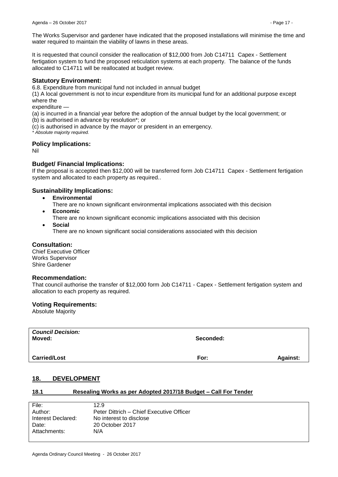It is requested that council consider the reallocation of \$12,000 from Job C14711 Capex - Settlement fertigation system to fund the proposed reticulation systems at each property. The balance of the funds allocated to C14711 will be reallocated at budget review.

## **Statutory Environment:**

6.8. Expenditure from municipal fund not included in annual budget

(1) A local government is not to incur expenditure from its municipal fund for an additional purpose except where the

#### expenditure -

(a) is incurred in a financial year before the adoption of the annual budget by the local government; or

- (b) is authorised in advance by resolution\*; or
- (c) is authorised in advance by the mayor or president in an emergency.
- *\* Absolute majority required.*

## **Policy Implications:**

Nil

## **Budget/ Financial Implications:**

If the proposal is accepted then \$12,000 will be transferred form Job C14711 Capex - Settlement fertigation system and allocated to each property as required..

## **Sustainability Implications:**

- **Environmental**
	- There are no known significant environmental implications associated with this decision
- **Economic**
	- There are no known significant economic implications associated with this decision
- **Social**
	- There are no known significant social considerations associated with this decision

## **Consultation:**

Chief Executive Officer Works Supervisor Shire Gardener

### **Recommendation:**

That council authorise the transfer of \$12,000 form Job C14711 - Capex - Settlement fertigation system and allocation to each property as required.

### **Voting Requirements:**

Absolute Majority

| <b>Council Decision:</b><br>Moved: | Seconded: |                 |
|------------------------------------|-----------|-----------------|
| <b>Carried/Lost</b>                | For:      | <b>Against:</b> |

## <span id="page-16-0"></span>**18. DEVELOPMENT**

## <span id="page-16-1"></span>**18.1 Resealing Works as per Adopted 2017/18 Budget – Call For Tender**

| File:              | 12.9                                     |
|--------------------|------------------------------------------|
| Author:            | Peter Dittrich - Chief Executive Officer |
| Interest Declared: | No interest to disclose                  |
| Date:              | 20 October 2017                          |
| Attachments:       | N/A                                      |
|                    |                                          |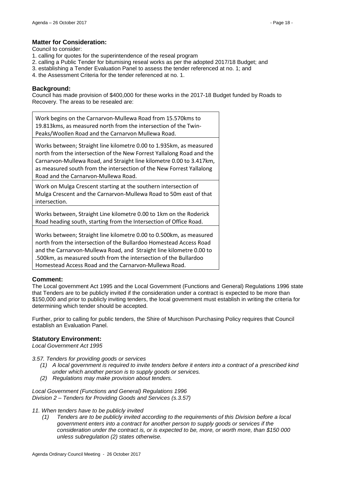## **Matter for Consideration:**

Council to consider:

- 1. calling for quotes for the superintendence of the reseal program
- 2. calling a Public Tender for bitumising reseal works as per the adopted 2017/18 Budget; and
- 3. establishing a Tender Evaluation Panel to assess the tender referenced at no. 1; and
- 4. the Assessment Criteria for the tender referenced at no. 1.

### **Background:**

Council has made provision of \$400,000 for these works in the 2017-18 Budget funded by Roads to Recovery. The areas to be resealed are:

Work begins on the Carnarvon-Mullewa Road from 15.570kms to 19.813kms, as measured north from the intersection of the Twin-Peaks/Woollen Road and the Carnarvon Mullewa Road.

Works between; Straight line kilometre 0.00 to 1.935km, as measured north from the intersection of the New Forrest Yallalong Road and the Carnarvon-Mullewa Road, and Straight line kilometre 0.00 to 3.417km, as measured south from the intersection of the New Forrest Yallalong Road and the Carnarvon-Mullewa Road.

Work on Mulga Crescent starting at the southern intersection of Mulga Crescent and the Carnarvon-Mullewa Road to 50m east of that intersection.

Works between, Straight Line kilometre 0.00 to 1km on the Roderick Road heading south, starting from the Intersection of Office Road.

Works between; Straight line kilometre 0.00 to 0.500km, as measured north from the intersection of the Bullardoo Homestead Access Road and the Carnarvon-Mullewa Road, and Straight line kilometre 0.00 to .500km, as measured south from the intersection of the Bullardoo Homestead Access Road and the Carnarvon-Mullewa Road.

## **Comment:**

The Local government Act 1995 and the Local Government (Functions and General) Regulations 1996 state that Tenders are to be publicly invited if the consideration under a contract is expected to be more than \$150,000 and prior to publicly inviting tenders, the local government must establish in writing the criteria for determining which tender should be accepted.

Further, prior to calling for public tenders, the Shire of Murchison Purchasing Policy requires that Council establish an Evaluation Panel.

### **Statutory Environment:**

*Local Government Act 1995*

*3.57. Tenders for providing goods or services*

- *(1) A local government is required to invite tenders before it enters into a contract of a prescribed kind under which another person is to supply goods or services.*
- *(2) Regulations may make provision about tenders.*

*Local Government (Functions and General) Regulations 1996 Division 2 – Tenders for Providing Goods and Services (s.3.57)*

### *11. When tenders have to be publicly invited*

*(1) Tenders are to be publicly invited according to the requirements of this Division before a local government enters into a contract for another person to supply goods or services if the consideration under the contract is, or is expected to be, more, or worth more, than \$150 000 unless subregulation (2) states otherwise.*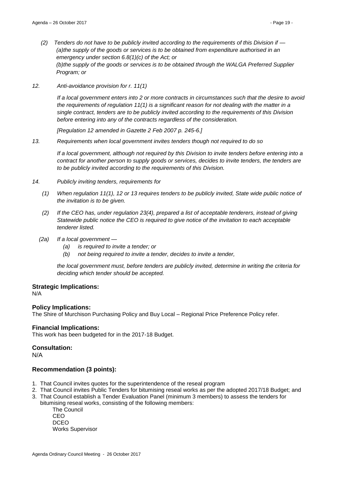- *(2) Tenders do not have to be publicly invited according to the requirements of this Division if — (a)the supply of the goods or services is to be obtained from expenditure authorised in an emergency under section 6.8(1)(c) of the Act; or (b)the supply of the goods or services is to be obtained through the WALGA Preferred Supplier Program; or*
- *12. Anti-avoidance provision for r. 11(1)*

*If a local government enters into 2 or more contracts in circumstances such that the desire to avoid the requirements of regulation 11(1) is a significant reason for not dealing with the matter in a single contract, tenders are to be publicly invited according to the requirements of this Division before entering into any of the contracts regardless of the consideration.*

*[Regulation 12 amended in Gazette 2 Feb 2007 p. 245-6.]*

*13. Requirements when local government invites tenders though not required to do so*

*If a local government, although not required by this Division to invite tenders before entering into a contract for another person to supply goods or services, decides to invite tenders, the tenders are to be publicly invited according to the requirements of this Division.*

- *14. Publicly inviting tenders, requirements for*
	- *(1) When regulation 11(1), 12 or 13 requires tenders to be publicly invited, State wide public notice of the invitation is to be given.*
	- *(2) If the CEO has, under regulation 23(4), prepared a list of acceptable tenderers, instead of giving Statewide public notice the CEO is required to give notice of the invitation to each acceptable tenderer listed.*
	- *(2a) If a local government —*
		- *(a) is required to invite a tender; or*
		- *(b) not being required to invite a tender, decides to invite a tender,*

*the local government must, before tenders are publicly invited, determine in writing the criteria for deciding which tender should be accepted.*

### **Strategic Implications:**

N/A

### **Policy Implications:**

The Shire of Murchison Purchasing Policy and Buy Local – Regional Price Preference Policy refer.

#### **Financial Implications:**

This work has been budgeted for in the 2017-18 Budget.

### **Consultation:**

N/A

### **Recommendation (3 points):**

- 1. That Council invites quotes for the superintendence of the reseal program
- 2. That Council invites Public Tenders for bitumising reseal works as per the adopted 2017/18 Budget; and
- 3. That Council establish a Tender Evaluation Panel (minimum 3 members) to assess the tenders for
- bitumising reseal works, consisting of the following members:

The Council CEO DCEO Works Supervisor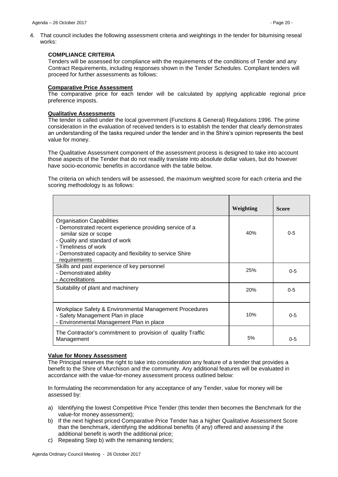4. That council includes the following assessment criteria and weightings in the tender for bitumising reseal works:

#### **COMPLIANCE CRITERIA**

Tenders will be assessed for compliance with the requirements of the conditions of Tender and any Contract Requirements, including responses shown in the Tender Schedules. Compliant tenders will proceed for further assessments as follows:

#### **Comparative Price Assessment**

The comparative price for each tender will be calculated by applying applicable regional price preference imposts.

#### **Qualitative Assessments**

The tender is called under the local government (Functions & General) Regulations 1996. The prime consideration in the evaluation of received tenders is to establish the tender that clearly demonstrates an understanding of the tasks required under the tender and in the Shire's opinion represents the best value for money.

The Qualitative Assessment component of the assessment process is designed to take into account those aspects of the Tender that do not readily translate into absolute dollar values, but do however have socio-economic benefits in accordance with the table below.

The criteria on which tenders will be assessed, the maximum weighted score for each criteria and the scoring methodology is as follows:

|                                                                                                                                                                                                                                                            | Weighting  | <b>Score</b> |
|------------------------------------------------------------------------------------------------------------------------------------------------------------------------------------------------------------------------------------------------------------|------------|--------------|
| <b>Organisation Capabilities</b><br>- Demonstrated recent experience providing service of a<br>similar size or scope<br>- Quality and standard of work<br>- Timeliness of work<br>- Demonstrated capacity and flexibility to service Shire<br>requirements | 40%        | $0 - 5$      |
| Skills and past experience of key personnel<br>- Demonstrated ability<br>- Accreditations                                                                                                                                                                  | 25%        | $0 - 5$      |
| Suitability of plant and machinery                                                                                                                                                                                                                         | <b>20%</b> | $0 - 5$      |
| Workplace Safety & Environmental Management Procedures<br>- Safety Management Plan in place<br>- Environmental Management Plan in place                                                                                                                    | 10%        | $0 - 5$      |
| The Contractor's commitment to provision of quality Traffic<br>Management                                                                                                                                                                                  | 5%         | $0 - 5$      |

### **Value for Money Assessment**

The Principal reserves the right to take into consideration any feature of a tender that provides a benefit to the Shire of Murchison and the community. Any additional features will be evaluated in accordance with the value-for-money assessment process outlined below:

In formulating the recommendation for any acceptance of any Tender, value for money will be assessed by:

- a) Identifying the lowest Competitive Price Tender (this tender then becomes the Benchmark for the value-for money assessment);
- b) If the next highest priced Comparative Price Tender has a higher Qualitative Assessment Score than the benchmark, identifying the additional benefits (if any) offered and assessing if the additional benefit is worth the additional price;
- c) Repeating Step b) with the remaining tenders;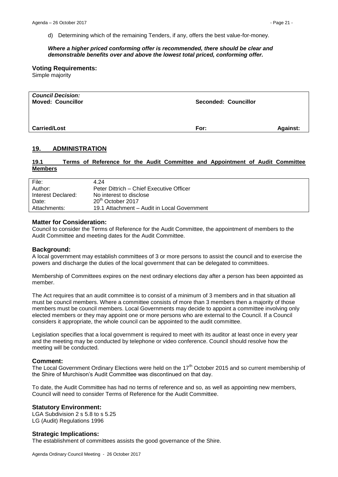d) Determining which of the remaining Tenders, if any, offers the best value-for-money.

#### *Where a higher priced conforming offer is recommended, there should be clear and demonstrable benefits over and above the lowest total priced, conforming offer.*

#### **Voting Requirements:**

Simple majority

| <b>Council Decision:</b><br><b>Moved: Councillor</b> | <b>Seconded: Councillor</b> |                 |
|------------------------------------------------------|-----------------------------|-----------------|
| <b>Carried/Lost</b>                                  | For:                        | <b>Against:</b> |

### <span id="page-20-0"></span>**19. ADMINISTRATION**

## <span id="page-20-1"></span>**19.1 Terms of Reference for the Audit Committee and Appointment of Audit Committee Members**

| File:              | 4.24                                        |
|--------------------|---------------------------------------------|
| Author:            | Peter Dittrich – Chief Executive Officer    |
| Interest Declared: | No interest to disclose                     |
| Date:              | 20 <sup>th</sup> October 2017               |
| Attachments:       | 19.1 Attachment – Audit in Local Government |

## **Matter for Consideration:**

Council to consider the Terms of Reference for the Audit Committee, the appointment of members to the Audit Committee and meeting dates for the Audit Committee.

#### **Background:**

A local government may establish committees of 3 or more persons to assist the council and to exercise the powers and discharge the duties of the local government that can be delegated to committees.

Membership of Committees expires on the next ordinary elections day after a person has been appointed as member.

The Act requires that an audit committee is to consist of a minimum of 3 members and in that situation all must be council members. Where a committee consists of more than 3 members then a majority of those members must be council members. Local Governments may decide to appoint a committee involving only elected members or they may appoint one or more persons who are external to the Council. If a Council considers it appropriate, the whole council can be appointed to the audit committee.

Legislation specifies that a local government is required to meet with its auditor at least once in every year and the meeting may be conducted by telephone or video conference. Council should resolve how the meeting will be conducted.

#### **Comment:**

The Local Government Ordinary Elections were held on the 17<sup>th</sup> October 2015 and so current membership of the Shire of Murchison's Audit Committee was discontinued on that day.

To date, the Audit Committee has had no terms of reference and so, as well as appointing new members, Council will need to consider Terms of Reference for the Audit Committee.

#### **Statutory Environment:**

LGA Subdivision 2 s 5.8 to s 5.25 LG (Audit) Regulations 1996

#### **Strategic Implications:**

The establishment of committees assists the good governance of the Shire.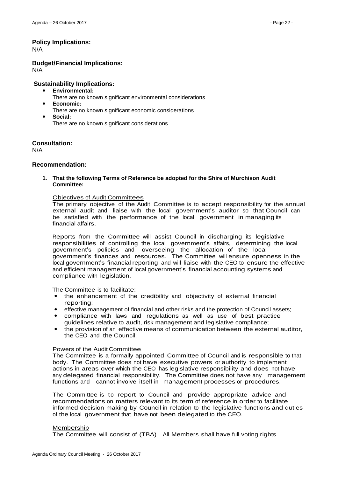## **Policy Implications:**

N/A

**Budget/Financial Implications:** N/A

## **Sustainability Implications:**

- **Environmental:**
	- There are no known significant environmental considerations
- **Economic:**
	- There are no known significant economic considerations
- **Social:** There are no known significant considerations

**Consultation:**

N/A

## **Recommendation:**

**1. That the following Terms of Reference be adopted for the Shire of Murchison Audit Committee:**

#### Objectives of Audit Committees

The primary objective of the Audit Committee is to accept responsibility for the annual external audit and liaise with the local government's auditor so that Council can be satisfied with the performance of the local government in managing its financial affairs.

Reports from the Committee will assist Council in discharging its legislative responsibilities of controlling the local government's affairs, determining the local government's policies and overseeing the allocation of the local government's finances and resources. The Committee will ensure openness in the local government's financial reporting and will liaise with the CEO to ensure the effective and efficient management of local government's financial accounting systems and compliance with legislation.

The Committee is to facilitate:

- the enhancement of the credibility and objectivity of external financial reporting;
- effective management of financial and other risks and the protection of Council assets;
- compliance with laws and regulations as well as use of best practice guidelines relative to audit, risk management and legislative compliance;
- the provision of an effective means of communication between the external auditor, the CEO and the Council;

#### Powers of the Audit Committee

The Committee is a formally appointed Committee of Council and is responsible to that body. The Committee does not have executive powers or authority to implement actions in areas over which the CEO has legislative responsibility and does not have any delegated financial responsibility. The Committee does not have any management functions and cannot involve itself in management processes or procedures.

The Committee is to report to Council and provide appropriate advice and recommendations on matters relevant to its term of reference in order to facilitate informed decision-making by Council in relation to the legislative functions and duties of the local government that have not been delegated to the CEO.

### Membership

The Committee will consist of (TBA). All Members shall have full voting rights.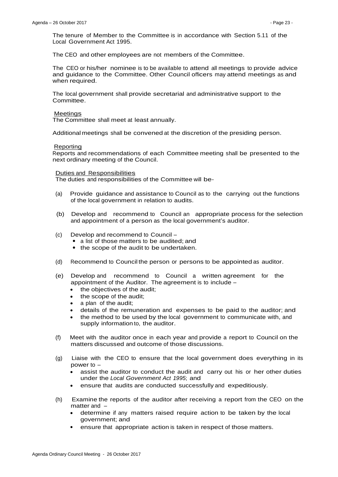The tenure of Member to the Committee is in accordance with Section 5.11 of the Local Government Act 1995.

The CEO and other employees are not members of the Committee.

The CEO or his/her nominee is to be available to attend all meetings to provide advice and guidance to the Committee. Other Council officers may attend meetings as and when required.

The local government shall provide secretarial and administrative support to the Committee.

#### Meetings

The Committee shall meet at least annually.

Additional meetings shall be convened at the discretion of the presiding person.

#### Reporting

Reports and recommendations of each Committee meeting shall be presented to the next ordinary meeting of the Council.

#### Duties and Responsibilities

The duties and responsibilities of the Committee will be-

- (a) Provide guidance and assistance to Council as to the carrying out the functions of the local government in relation to audits.
- (b) Develop and recommend to Council an appropriate process for the selection and appointment of a person as the local government's auditor.
- (c) Develop and recommend to Council
	- a list of those matters to be audited; and
	- the scope of the audit to be undertaken.
- (d) Recommend to Councilthe person or persons to be appointed as auditor.
- (e) Develop and recommend to Council a written agreement for the appointment of the Auditor. The agreement is to include –
	- the objectives of the audit:
	- the scope of the audit:
	- a plan of the audit;
	- details of the remuneration and expenses to be paid to the auditor; and
	- the method to be used by the local government to communicate with, and supply information to, the auditor.
- (f) Meet with the auditor once in each year and provide a report to Council on the matters discussed and outcome of those discussions.
- (g) Liaise with the CEO to ensure that the local government does everything in its power to –
	- assist the auditor to conduct the audit and carry out his or her other duties under the *Local Government Act 1995*; and
	- ensure that audits are conducted successfully and expeditiously.
- (h) Examine the reports of the auditor after receiving a report from the CEO on the matter and –
	- determine if any matters raised require action to be taken by the local government; and
	- ensure that appropriate action is taken in respect of those matters.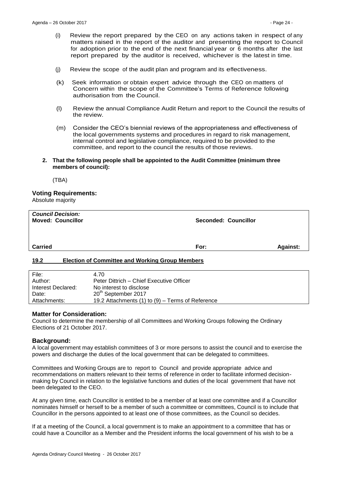- (i) Review the report prepared by the CEO on any actions taken in respect of any matters raised in the report of the auditor and presenting the report to Council for adoption prior to the end of the next financial year or 6 months after the last report prepared by the auditor is received, whichever is the latest in time.
- (j) Review the scope of the audit plan and program and its effectiveness.
- (k) Seek information or obtain expert advice through the CEO on matters of Concern within the scope of the Committee's Terms of Reference following authorisation from the Council.
- (l) Review the annual Compliance Audit Return and report to the Council the results of the review.
- (m) Consider the CEO's biennial reviews of the appropriateness and effectiveness of the local governments systems and procedures in regard to risk management, internal control and legislative compliance, required to be provided to the committee, and report to the council the results of those reviews.
- **2. That the following people shall be appointed to the Audit Committee (minimum three members of council):**

(TBA)

### **Voting Requirements:**

Absolute majority

| <b>Council Decision:</b><br><b>Moved: Councillor</b> | <b>Seconded: Councillor</b> |                 |
|------------------------------------------------------|-----------------------------|-----------------|
| <b>Carried</b>                                       | For:                        | <b>Against:</b> |

### <span id="page-23-0"></span>**19.2 Election of Committee and Working Group Members**

| File:              | 4.70                                             |
|--------------------|--------------------------------------------------|
| Author:            | Peter Dittrich – Chief Executive Officer         |
| Interest Declared: | No interest to disclose                          |
| Date:              | 20 <sup>th</sup> September 2017                  |
| Attachments:       | 19.2 Attachments (1) to (9) – Terms of Reference |

### **Matter for Consideration:**

Council to determine the membership of all Committees and Working Groups following the Ordinary Elections of 21 October 2017.

### **Background:**

A local government may establish committees of 3 or more persons to assist the council and to exercise the powers and discharge the duties of the local government that can be delegated to committees.

Committees and Working Groups are to report to Council and provide appropriate advice and recommendations on matters relevant to their terms of reference in order to facilitate informed decisionmaking by Council in relation to the legislative functions and duties of the local government that have not been delegated to the CEO.

At any given time, each Councillor is entitled to be a member of at least one committee and if a Councillor nominates himself or herself to be a member of such a committee or committees, Council is to include that Councillor in the persons appointed to at least one of those committees, as the Council so decides.

If at a meeting of the Council, a local government is to make an appointment to a committee that has or could have a Councillor as a Member and the President informs the local government of his wish to be a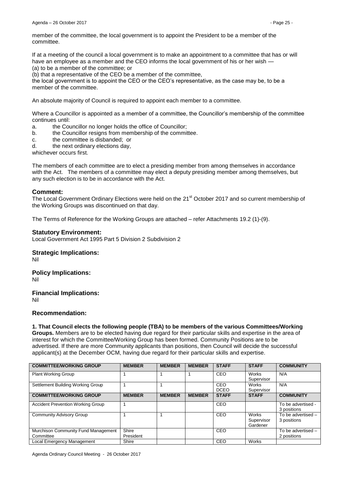member of the committee, the local government is to appoint the President to be a member of the committee.

If at a meeting of the council a local government is to make an appointment to a committee that has or will have an employee as a member and the CEO informs the local government of his or her wish — (a) to be a member of the committee; or

(b) that a representative of the CEO be a member of the committee,

the local government is to appoint the CEO or the CEO's representative, as the case may be, to be a member of the committee.

An absolute majority of Council is required to appoint each member to a committee.

Where a Councillor is appointed as a member of a committee, the Councillor's membership of the committee continues until:

- a. the Councillor no longer holds the office of Councillor;
- b. the Councillor resigns from membership of the committee.
- c. the committee is disbanded; or
- d. the next ordinary elections day,

whichever occurs first.

The members of each committee are to elect a presiding member from among themselves in accordance with the Act. The members of a committee may elect a deputy presiding member among themselves, but any such election is to be in accordance with the Act.

### **Comment:**

The Local Government Ordinary Elections were held on the 21<sup>st</sup> October 2017 and so current membership of the Working Groups was discontinued on that day.

The Terms of Reference for the Working Groups are attached – refer Attachments 19.2 (1)-(9).

### **Statutory Environment:**

Local Government Act 1995 Part 5 Division 2 Subdivision 2

### **Strategic Implications:**

Nil

### **Policy Implications:**

Nil

**Financial Implications:** Nil

### **Recommendation:**

**1. That Council elects the following people (TBA) to be members of the various Committees/Working** 

**Groups.** Members are to be elected having due regard for their particular skills and expertise in the area of interest for which the Committee/Working Group has been formed. Community Positions are to be advertised. If there are more Community applicants than positions, then Council will decide the successful applicant(s) at the December OCM, having due regard for their particular skills and expertise.

| <b>COMMITTEE/WORKING GROUP</b>           | <b>MEMBER</b> | <b>MEMBER</b> | <b>MEMBER</b> | <b>STAFF</b> | <b>STAFF</b>                           | <b>COMMUNITY</b>                  |
|------------------------------------------|---------------|---------------|---------------|--------------|----------------------------------------|-----------------------------------|
| <b>Plant Working Group</b>               |               |               |               | <b>CEO</b>   | <b>Works</b>                           | N/A                               |
|                                          |               |               |               |              | Supervisor                             |                                   |
| Settlement Building Working Group        |               |               |               | CEO          | <b>Works</b>                           | N/A                               |
|                                          |               |               |               | <b>DCEO</b>  | Supervisor                             |                                   |
| <b>COMMITTEE/WORKING GROUP</b>           | <b>MEMBER</b> | <b>MEMBER</b> | <b>MEMBER</b> | <b>STAFF</b> | <b>STAFF</b>                           | <b>COMMUNITY</b>                  |
| <b>Accident Prevention Working Group</b> |               |               |               | <b>CEO</b>   |                                        | To be advertised -<br>3 positions |
| <b>Community Advisory Group</b>          |               |               |               | <b>CEO</b>   | <b>Works</b><br>Supervisor<br>Gardener | To be advertised -<br>3 positions |
| Murchison Community Fund Management      | Shire         |               |               | CEO          |                                        | To be advertised -                |
| Committee                                | President     |               |               |              |                                        | 2 positions                       |
| Local Emergency Management               | Shire         |               |               | CEO          | <b>Works</b>                           |                                   |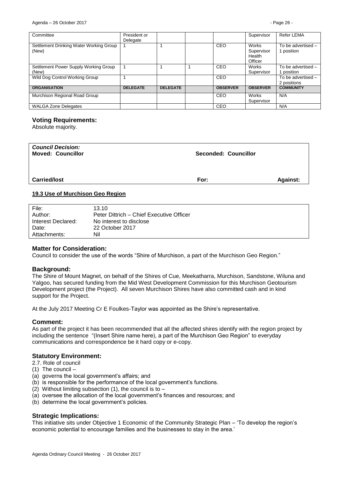| Committee                                        | President or<br>Delegate |                 |                 | Supervisor                               | Refer LEMA                        |
|--------------------------------------------------|--------------------------|-----------------|-----------------|------------------------------------------|-----------------------------------|
| Settlement Drinking Water Working Group<br>(New) |                          |                 | <b>CEO</b>      | Works<br>Supervisor<br>Health<br>Officer | To be advertised -<br>1 position  |
| Settlement Power Supply Working Group<br>(New)   |                          |                 | CEO             | Works<br>Supervisor                      | To be advertised -<br>I position  |
| Wild Dog Control Working Group                   |                          |                 | CEO             |                                          | To be advertised -<br>2 positions |
| <b>ORGANISATION</b>                              | <b>DELEGATE</b>          | <b>DELEGATE</b> | <b>OBSERVER</b> | <b>OBSERVER</b>                          | <b>COMMUNITY</b>                  |
| Murchison Regional Road Group                    |                          |                 | CEO             | <b>Works</b><br>Supervisor               | N/A                               |
| <b>WALGA Zone Delegates</b>                      |                          |                 | CEO             |                                          | N/A                               |

#### **Voting Requirements:**

Absolute majority.

| <b>Council Decision:</b><br><b>Moved: Councillor</b> | Seconded: Councillor |                 |
|------------------------------------------------------|----------------------|-----------------|
| <b>Carried/lost</b>                                  | For:                 | <b>Against:</b> |

#### <span id="page-25-0"></span>**19.3 Use of Murchison Geo Region**

| File:              | 13.10                                    |
|--------------------|------------------------------------------|
| Author:            | Peter Dittrich - Chief Executive Officer |
| Interest Declared: | No interest to disclose                  |
| Date:              | 22 October 2017                          |
| Attachments:       | Nil                                      |

### **Matter for Consideration:**

Council to consider the use of the words "Shire of Murchison, a part of the Murchison Geo Region."

#### **Background:**

The Shire of Mount Magnet, on behalf of the Shires of Cue, Meekatharra, Murchison, Sandstone, Wiluna and Yalgoo, has secured funding from the Mid West Development Commission for this Murchison Geotourism Development project (the Project). All seven Murchison Shires have also committed cash and in kind support for the Project.

At the July 2017 Meeting Cr E Foulkes-Taylor was appointed as the Shire's representative.

### **Comment:**

As part of the project it has been recommended that all the affected shires identify with the region project by including the sentence "(Insert Shire name here), a part of the Murchison Geo Region" to everyday communications and correspondence be it hard copy or e-copy.

#### **Statutory Environment:**

- 2.7. Role of council
- (1) The council –
- (a) governs the local government's affairs; and
- (b) is responsible for the performance of the local government's functions.
- (2) Without limiting subsection (1), the council is to  $-$
- (a) oversee the allocation of the local government's finances and resources; and
- (b) determine the local government's policies.

### **Strategic Implications:**

This initiative sits under Objective 1 Economic of the Community Strategic Plan – 'To develop the region's economic potential to encourage families and the businesses to stay in the area.'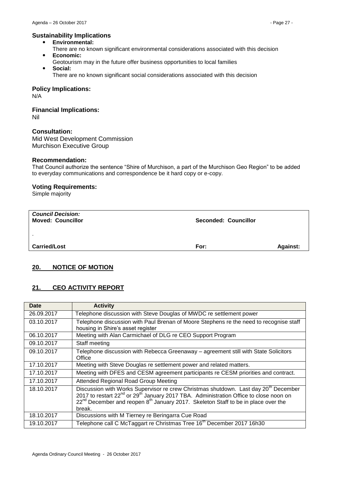## **Sustainability Implications**

- **Environmental:**
- There are no known significant environmental considerations associated with this decision **Economic:**
- Geotourism may in the future offer business opportunities to local families **Social:**
	- There are no known significant social considerations associated with this decision

**Policy Implications:**

N/A

# **Financial Implications:**

Nil

## **Consultation:**

Mid West Development Commission Murchison Executive Group

### **Recommendation:**

That Council authorize the sentence "Shire of Murchison, a part of the Murchison Geo Region" to be added to everyday communications and correspondence be it hard copy or e-copy.

### **Voting Requirements:**

Simple majority

| <b>Council Decision:</b><br><b>Moved: Councillor</b> | Seconded: Councillor |                 |
|------------------------------------------------------|----------------------|-----------------|
| ٠.                                                   |                      |                 |
| <b>Carried/Lost</b>                                  | For:                 | <b>Against:</b> |

## <span id="page-26-0"></span>**20. NOTICE OF MOTION**

## <span id="page-26-1"></span>**21. CEO ACTIVITY REPORT**

| <b>Date</b> | <b>Activity</b>                                                                                                                                                                                                                                                                                                           |  |
|-------------|---------------------------------------------------------------------------------------------------------------------------------------------------------------------------------------------------------------------------------------------------------------------------------------------------------------------------|--|
| 26.09.2017  | Telephone discussion with Steve Douglas of MWDC re settlement power                                                                                                                                                                                                                                                       |  |
| 03.10.2017  | Telephone discussion with Paul Brenan of Moore Stephens re the need to recognise staff<br>housing in Shire's asset register                                                                                                                                                                                               |  |
| 06.10.2017  | Meeting with Alan Carmichael of DLG re CEO Support Program                                                                                                                                                                                                                                                                |  |
| 09.10.2017  | Staff meeting                                                                                                                                                                                                                                                                                                             |  |
| 09.10.2017  | Telephone discussion with Rebecca Greenaway - agreement still with State Solicitors<br>Office                                                                                                                                                                                                                             |  |
| 17.10.2017  | Meeting with Steve Douglas re settlement power and related matters.                                                                                                                                                                                                                                                       |  |
| 17.10.2017  | Meeting with DFES and CESM agreement participants re CESM priorities and contract.                                                                                                                                                                                                                                        |  |
| 17.10.2017  | Attended Regional Road Group Meeting                                                                                                                                                                                                                                                                                      |  |
| 18.10.2017  | Discussion with Works Supervisor re crew Christmas shutdown. Last day 20 <sup>th</sup> December<br>2017 to restart 22 <sup>nd</sup> or 29 <sup>th</sup> January 2017 TBA. Administration Office to close noon on<br>$22^{nd}$ December and reopen $8^{th}$ January 2017. Skeleton Staff to be in place over the<br>break. |  |
| 18.10.2017  | Discussions with M Tierney re Beringarra Cue Road                                                                                                                                                                                                                                                                         |  |
| 19.10.2017  | Telephone call C McTaggart re Christmas Tree 16 <sup>th</sup> December 2017 16h30                                                                                                                                                                                                                                         |  |